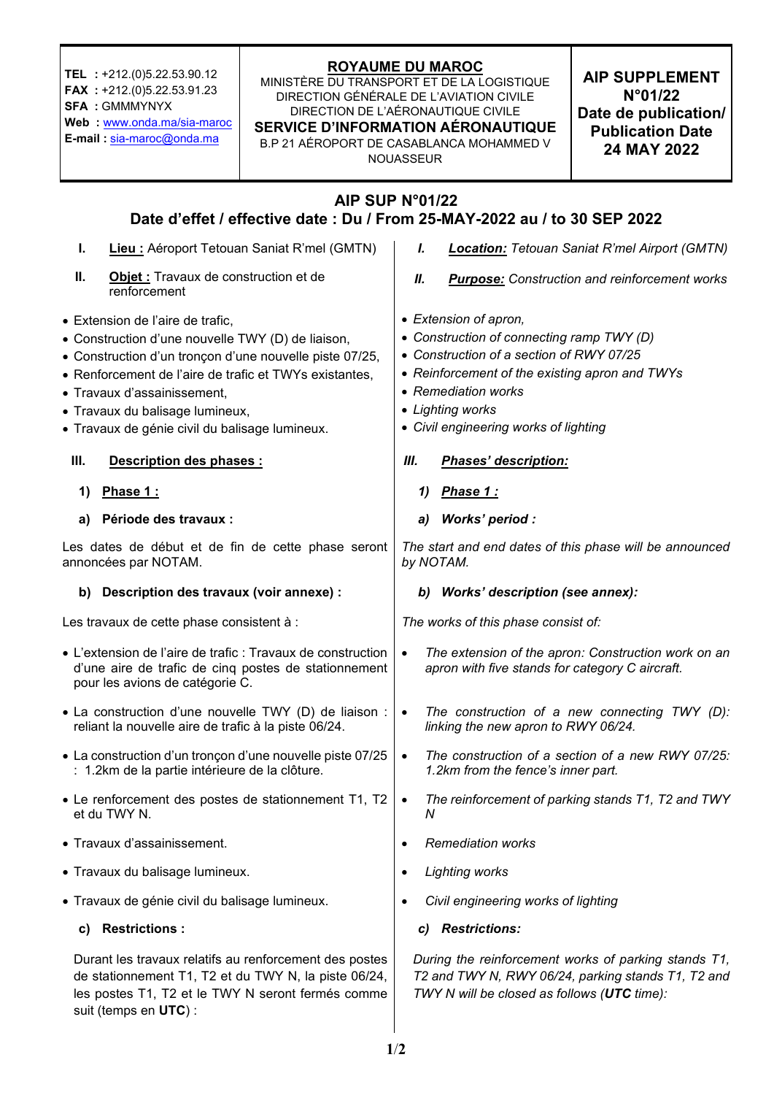| TEL : +212.(0)5.22.53.90.12<br>FAX : +212.(0)5.22.53.91.23<br><b>SFA: GMMMYNYX</b><br>Web : www.onda.ma/sia-maroc<br>E-mail: sia-maroc@onda.ma                                                                                                                                                                                 | <b>ROYAUME DU MAROC</b><br>MINISTÈRE DU TRANSPORT ET DE LA LOGISTIQUE<br>DIRECTION GÉNÉRALE DE L'AVIATION CIVILE<br>DIRECTION DE L'AÉRONAUTIQUE CIVILE<br>SERVICE D'INFORMATION AÉRONAUTIQUE<br>B.P 21 AÉROPORT DE CASABLANCA MOHAMMED V | <b>NOUASSEUR</b>                                                                                                                                                                                                                                     |  | <b>AIP SUPPLEMENT</b><br>N°01/22<br>Date de publication/<br><b>Publication Date</b><br>24 MAY 2022 |
|--------------------------------------------------------------------------------------------------------------------------------------------------------------------------------------------------------------------------------------------------------------------------------------------------------------------------------|------------------------------------------------------------------------------------------------------------------------------------------------------------------------------------------------------------------------------------------|------------------------------------------------------------------------------------------------------------------------------------------------------------------------------------------------------------------------------------------------------|--|----------------------------------------------------------------------------------------------------|
| AIP SUP N°01/22<br>Date d'effet / effective date : Du / From 25-MAY-2022 au / to 30 SEP 2022                                                                                                                                                                                                                                   |                                                                                                                                                                                                                                          |                                                                                                                                                                                                                                                      |  |                                                                                                    |
| Lieu : Aéroport Tetouan Saniat R'mel (GMTN)<br>L.                                                                                                                                                                                                                                                                              |                                                                                                                                                                                                                                          | I.<br><b>Location:</b> Tetouan Saniat R'mel Airport (GMTN)                                                                                                                                                                                           |  |                                                                                                    |
| П.<br>Objet : Travaux de construction et de<br>renforcement                                                                                                                                                                                                                                                                    |                                                                                                                                                                                                                                          | Ш.<br><b>Purpose:</b> Construction and reinforcement works                                                                                                                                                                                           |  |                                                                                                    |
| • Extension de l'aire de trafic,<br>• Construction d'une nouvelle TWY (D) de liaison,<br>• Construction d'un tronçon d'une nouvelle piste 07/25,<br>• Renforcement de l'aire de trafic et TWYs existantes,<br>• Travaux d'assainissement,<br>· Travaux du balisage lumineux,<br>· Travaux de génie civil du balisage lumineux. |                                                                                                                                                                                                                                          | • Extension of apron,<br>• Construction of connecting ramp TWY (D)<br>• Construction of a section of RWY 07/25<br>• Reinforcement of the existing apron and TWYs<br>• Remediation works<br>• Lighting works<br>• Civil engineering works of lighting |  |                                                                                                    |
| III.<br>Description des phases :                                                                                                                                                                                                                                                                                               |                                                                                                                                                                                                                                          | Ш.<br>Phases' description:                                                                                                                                                                                                                           |  |                                                                                                    |
| Phase 1:<br>1)                                                                                                                                                                                                                                                                                                                 |                                                                                                                                                                                                                                          | Phase 1:<br>1)                                                                                                                                                                                                                                       |  |                                                                                                    |
| Période des travaux :<br>a)                                                                                                                                                                                                                                                                                                    |                                                                                                                                                                                                                                          | Works' period :<br>a)                                                                                                                                                                                                                                |  |                                                                                                    |
| Les dates de début et de fin de cette phase seront<br>annoncées par NOTAM.                                                                                                                                                                                                                                                     |                                                                                                                                                                                                                                          | The start and end dates of this phase will be announced<br>by NOTAM.                                                                                                                                                                                 |  |                                                                                                    |
| b) Description des travaux (voir annexe) :                                                                                                                                                                                                                                                                                     |                                                                                                                                                                                                                                          | b) Works' description (see annex):                                                                                                                                                                                                                   |  |                                                                                                    |
| Les travaux de cette phase consistent à :                                                                                                                                                                                                                                                                                      |                                                                                                                                                                                                                                          | The works of this phase consist of:                                                                                                                                                                                                                  |  |                                                                                                    |
| • L'extension de l'aire de trafic : Travaux de construction<br>d'une aire de trafic de cinq postes de stationnement<br>pour les avions de catégorie C.                                                                                                                                                                         |                                                                                                                                                                                                                                          | The extension of the apron: Construction work on an<br>$\bullet$<br>apron with five stands for category C aircraft.                                                                                                                                  |  |                                                                                                    |
| • La construction d'une nouvelle TWY (D) de liaison :<br>reliant la nouvelle aire de trafic à la piste 06/24.                                                                                                                                                                                                                  |                                                                                                                                                                                                                                          | The construction of a new connecting TWY (D):<br>$\bullet$<br>linking the new apron to RWY 06/24.                                                                                                                                                    |  |                                                                                                    |
| • La construction d'un tronçon d'une nouvelle piste 07/25<br>: 1.2km de la partie intérieure de la clôture.                                                                                                                                                                                                                    |                                                                                                                                                                                                                                          | The construction of a section of a new RWY 07/25:<br>$\bullet$<br>1.2km from the fence's inner part.                                                                                                                                                 |  |                                                                                                    |
| • Le renforcement des postes de stationnement T1, T2<br>et du TWY N.                                                                                                                                                                                                                                                           |                                                                                                                                                                                                                                          | The reinforcement of parking stands T1, T2 and TWY<br>$\bullet$<br>Ν                                                                                                                                                                                 |  |                                                                                                    |
| • Travaux d'assainissement.                                                                                                                                                                                                                                                                                                    |                                                                                                                                                                                                                                          | <b>Remediation works</b><br>٠                                                                                                                                                                                                                        |  |                                                                                                    |
| • Travaux du balisage lumineux.                                                                                                                                                                                                                                                                                                |                                                                                                                                                                                                                                          | <b>Lighting works</b><br>٠                                                                                                                                                                                                                           |  |                                                                                                    |
| • Travaux de génie civil du balisage lumineux.                                                                                                                                                                                                                                                                                 |                                                                                                                                                                                                                                          | Civil engineering works of lighting                                                                                                                                                                                                                  |  |                                                                                                    |
| <b>Restrictions:</b><br>C)                                                                                                                                                                                                                                                                                                     |                                                                                                                                                                                                                                          | <b>Restrictions:</b><br>C)                                                                                                                                                                                                                           |  |                                                                                                    |
| Durant les travaux relatifs au renforcement des postes<br>de stationnement T1, T2 et du TWY N, la piste 06/24,<br>les postes T1, T2 et le TWY N seront fermés comme<br>suit (temps en UTC) :                                                                                                                                   |                                                                                                                                                                                                                                          | During the reinforcement works of parking stands T1,<br>T2 and TWY N, RWY 06/24, parking stands T1, T2 and<br>TWY N will be closed as follows (UTC time):                                                                                            |  |                                                                                                    |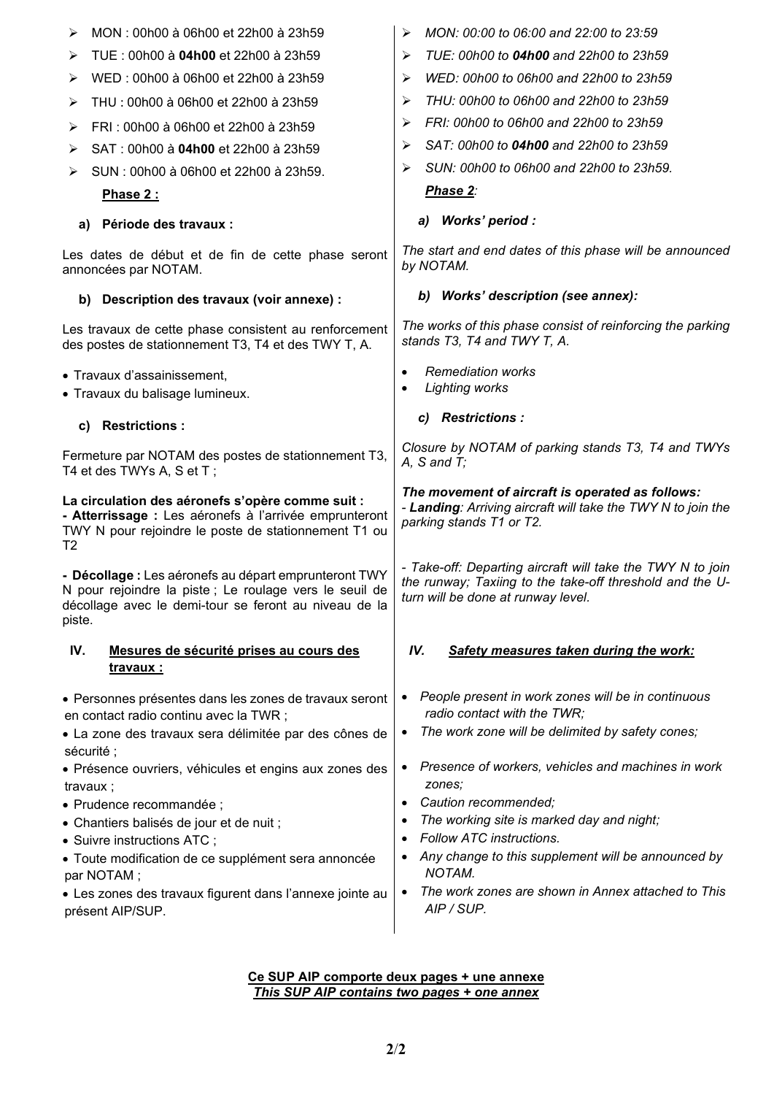| MON: 00h00 à 06h00 et 22h00 à 23h59<br>⋗                                                                                                                                             | MON: 00:00 to 06:00 and 22:00 to 23:59<br>➤                                                                                                                  |  |  |  |
|--------------------------------------------------------------------------------------------------------------------------------------------------------------------------------------|--------------------------------------------------------------------------------------------------------------------------------------------------------------|--|--|--|
| TUE : 00h00 à 04h00 et 22h00 à 23h59<br>⋗                                                                                                                                            | TUE: 00h00 to 04h00 and 22h00 to 23h59<br>➤                                                                                                                  |  |  |  |
| WED: 00h00 à 06h00 et 22h00 à 23h59<br>⋗                                                                                                                                             | WED: 00h00 to 06h00 and 22h00 to 23h59<br>➤                                                                                                                  |  |  |  |
| THU: 00h00 à 06h00 et 22h00 à 23h59<br>⋗                                                                                                                                             | THU: 00h00 to 06h00 and 22h00 to 23h59<br>➤                                                                                                                  |  |  |  |
| FRI: 00h00 à 06h00 et 22h00 à 23h59<br>➤                                                                                                                                             | FRI: 00h00 to 06h00 and 22h00 to 23h59<br>➤                                                                                                                  |  |  |  |
| SAT: 00h00 à 04h00 et 22h00 à 23h59<br>⋗                                                                                                                                             | SAT: 00h00 to 04h00 and 22h00 to 23h59<br>➤                                                                                                                  |  |  |  |
| SUN: 00h00 à 06h00 et 22h00 à 23h59.<br>➤                                                                                                                                            | SUN: 00h00 to 06h00 and 22h00 to 23h59.<br>➤                                                                                                                 |  |  |  |
| <b>Phase 2:</b>                                                                                                                                                                      | Phase 2:                                                                                                                                                     |  |  |  |
| Période des travaux :<br>a)                                                                                                                                                          | a) Works' period :                                                                                                                                           |  |  |  |
| Les dates de début et de fin de cette phase seront<br>annoncées par NOTAM.                                                                                                           | The start and end dates of this phase will be announced<br>by NOTAM.                                                                                         |  |  |  |
| b) Description des travaux (voir annexe) :                                                                                                                                           | Works' description (see annex):<br>b)                                                                                                                        |  |  |  |
| Les travaux de cette phase consistent au renforcement<br>des postes de stationnement T3, T4 et des TWY T, A.                                                                         | The works of this phase consist of reinforcing the parking<br>stands T3, T4 and TWY T, A.                                                                    |  |  |  |
| • Travaux d'assainissement,<br>• Travaux du balisage lumineux.                                                                                                                       | <b>Remediation works</b><br>$\bullet$<br><b>Lighting works</b><br>$\bullet$                                                                                  |  |  |  |
| <b>Restrictions:</b><br>C)                                                                                                                                                           | c) Restrictions :                                                                                                                                            |  |  |  |
| Fermeture par NOTAM des postes de stationnement T3,<br>T4 et des TWYs A, S et T;                                                                                                     | Closure by NOTAM of parking stands T3, T4 and TWYs<br>$A$ , $S$ and $T$ ;                                                                                    |  |  |  |
| La circulation des aéronefs s'opère comme suit :<br>- Atterrissage : Les aéronefs à l'arrivée emprunteront<br>TWY N pour rejoindre le poste de stationnement T1 ou<br>T <sub>2</sub> | The movement of aircraft is operated as follows:<br>- Landing: Arriving aircraft will take the TWY N to join the<br>parking stands T1 or T2.                 |  |  |  |
| - Décollage : Les aéronefs au départ emprunteront TWY<br>N pour rejoindre la piste ; Le roulage vers le seuil de<br>décollage avec le demi-tour se feront au niveau de la<br>piste.  | - Take-off: Departing aircraft will take the TWY N to join<br>the runway; Taxiing to the take-off threshold and the U-<br>turn will be done at runway level. |  |  |  |
| IV.<br>Mesures de sécurité prises au cours des<br><u>travaux :</u>                                                                                                                   | IV.<br>Safety measures taken during the work:                                                                                                                |  |  |  |
| • Personnes présentes dans les zones de travaux seront                                                                                                                               | People present in work zones will be in continuous<br>٠                                                                                                      |  |  |  |
| en contact radio continu avec la TWR ;                                                                                                                                               | radio contact with the TWR;                                                                                                                                  |  |  |  |
| • La zone des travaux sera délimitée par des cônes de<br>sécurité ;                                                                                                                  | The work zone will be delimited by safety cones;<br>$\bullet$                                                                                                |  |  |  |
| • Présence ouvriers, véhicules et engins aux zones des                                                                                                                               |                                                                                                                                                              |  |  |  |
|                                                                                                                                                                                      | Presence of workers, vehicles and machines in work<br>٠                                                                                                      |  |  |  |
| travaux ;                                                                                                                                                                            | zones;                                                                                                                                                       |  |  |  |
| • Prudence recommandée ;                                                                                                                                                             | Caution recommended;<br>$\bullet$<br>$\bullet$                                                                                                               |  |  |  |
| • Chantiers balisés de jour et de nuit ;<br>• Suivre instructions ATC;                                                                                                               | The working site is marked day and night;<br>Follow ATC instructions.<br>$\bullet$                                                                           |  |  |  |
| · Toute modification de ce supplément sera annoncée                                                                                                                                  | Any change to this supplement will be announced by                                                                                                           |  |  |  |
| par NOTAM;<br>• Les zones des travaux figurent dans l'annexe jointe au                                                                                                               | <b>NOTAM.</b><br>The work zones are shown in Annex attached to This<br>$\bullet$                                                                             |  |  |  |

## **Ce SUP AIP comporte deux pages + une annexe**  *This SUP AIP contains two pages + one annex*